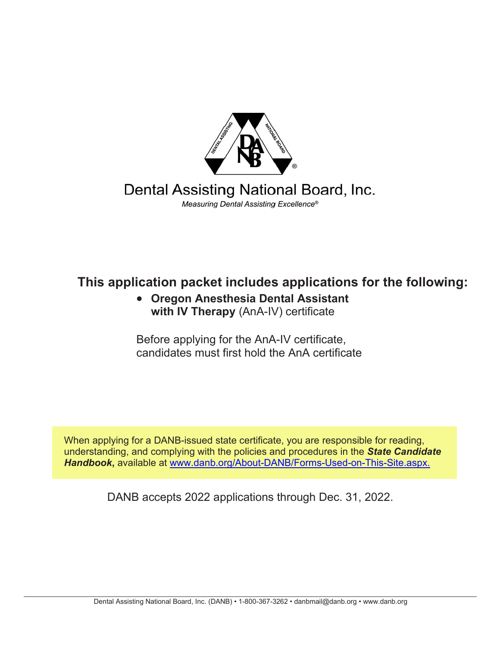

Dental Assisting National Board, Inc. Measuring Dental Assisting Excellence®

# **This application packet includes applications for the following:**

• **Oregon Anesthesia Dental Assistant with IV Therapy** (AnA-IV) certificate

Before applying for the AnA-IV certificate, candidates must first hold the AnA certificate

When applying for a DANB-issued state certificate, you are responsible for reading, understanding, and complying with the policies and procedures in the *State Candidate Handbook***,** available at [www.](http://www.danb.org/About-DANB/Forms-Used-on-This-Site.aspx)[danb.org/About-DANB/Forms-Used-on-This-Site.aspx.](https://www.danb.org/About-DANB/Forms-Used-on-This-Site.aspx)

DANB accepts 2022 applications through Dec. 31, 2022.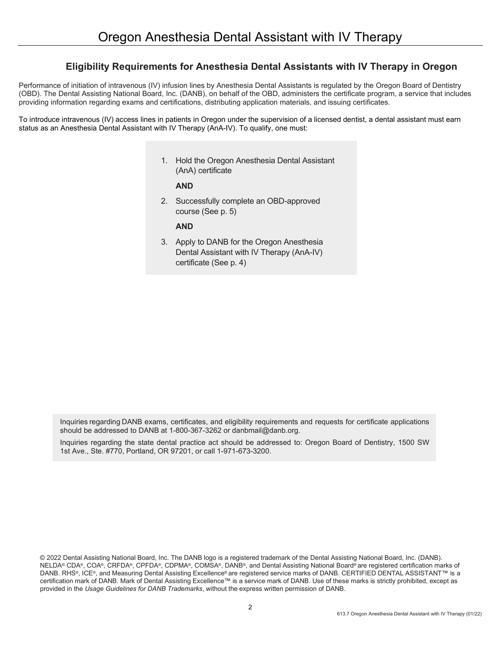## **Eligibility Requirements for Anesthesia Dental Assistants with IV Therapy in Oregon**

Performance of initiation of intravenous (IV) infusion lines by Anesthesia Dental Assistants is regulated by the Oregon Board of Dentistry (OBD). The Dental Assisting National Board, Inc. (DANB), on behalf of the OBD, administers the certificate program, a service that includes providing information regarding exams and certifications, distributing application materials, and issuing certificates.

To introduce intravenous (IV) access lines in patients in Oregon under the supervision of a licensed dentist, a dental assistant must earn status as an Anesthesia Dental Assistant with IV Therapy (AnA-IV). To qualify, one must:

> 1. Hold the Oregon Anesthesia Dental Assistant (AnA) certificate

## **AND**

2. Successfully complete an OBD-approved course (See p. 5)

**AND**

3. Apply to DANB for the Oregon Anesthesia Dental Assistant with IV Therapy (AnA-IV) certificate (See p. 4)

Inquiries regarding DANB exams, certificates, and eligibility requirements and requests for certificate applications should be addressed to DANB at 1-800-367-3262 or danbmail@danb.org.

Inquiries regarding the state dental practice act should be addressed to: Oregon Board of Dentistry, 1500 SW 1st Ave., Ste. #770, Portland, OR 97201, or call 1-971-673-3200.

<sup>© 2022</sup> Dental Assisting National Board, Inc. The DANB logo is a registered trademark of the Dental Assisting National Board, Inc. (DANB). NELDA®, CDA®, COA®, CRFDA®, CPFDA®, CDPMA®, COMSA®, DANB®, and Dental Assisting National Board® are registered certification marks of DANB. RHS®, ICE®, and Measuring Dental Assisting Excellence® are registered service marks of DANB. CERTIFIED DENTAL ASSISTANT™ is a certification mark of DANB. Mark of Dental Assisting Excellence™ is a service mark of DANB. Use of these marks is strictly prohibited, except as provided in the *Usage Guidelines for DANB Trademarks*, without the express written permission of DANB.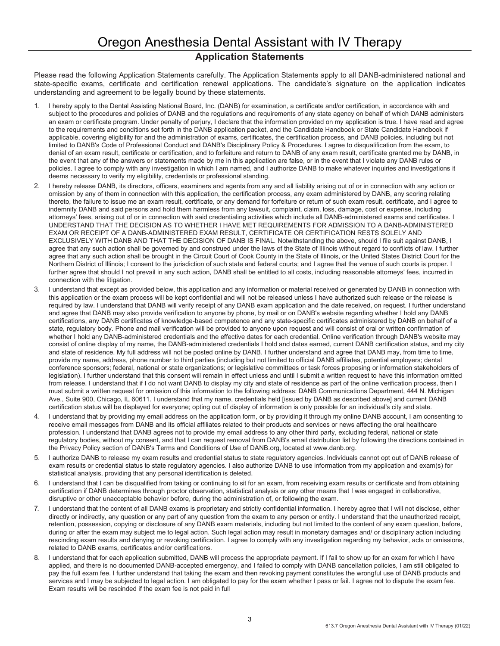# Oregon Anesthesia Dental Assistant with IV Therapy **Application Statements**

Please read the following Application Statements carefully. The Application Statements apply to all DANB-administered national and state-specific exams, certificate and certification renewal applications. The candidate's signature on the application indicates understanding and agreement to be legally bound by these statements.

- 1. I hereby apply to the Dental Assisting National Board, Inc. (DANB) for examination, a certificate and/or certification, in accordance with and subject to the procedures and policies of DANB and the regulations and requirements of any state agency on behalf of which DANB administers an exam or certificate program. Under penalty of perjury, I declare that the information provided on my application is true. I have read and agree to the requirements and conditions set forth in the DANB application packet, and the Candidate Handbook or State Candidate Handbook if applicable, covering eligibility for and the administration of exams, certificates, the certification process, and DANB policies, including but not limited to DANB's Code of Professional Conduct and DANB's Disciplinary Policy & Procedures. I agree to disqualification from the exam, to denial of an exam result, certificate or certification, and to forfeiture and return to DANB of any exam result, certificate granted me by DANB, in the event that any of the answers or statements made by me in this application are false, or in the event that I violate any DANB rules or policies. I agree to comply with any investigation in which I am named, and I authorize DANB to make whatever inquiries and investigations it deems necessary to verify my eligibility, credentials or professional standing.
- 2. I hereby release DANB, its directors, officers, examiners and agents from any and all liability arising out of or in connection with any action or omission by any of them in connection with this application, the certification process, any exam administered by DANB, any scoring relating thereto, the failure to issue me an exam result, certificate, or any demand for forfeiture or return of such exam result, certificate, and I agree to indemnify DANB and said persons and hold them harmless from any lawsuit, complaint, claim, loss, damage, cost or expense, including attorneys' fees, arising out of or in connection with said credentialing activities which include all DANB-administered exams and certificates. I UNDERSTAND THAT THE DECISION AS TO WHETHER I HAVE MET REQUIREMENTS FOR ADMISSION TO A DANB-ADMINISTERED EXAM OR RECEIPT OF A DANB-ADMINISTERED EXAM RESULT, CERTIFICATE OR CERTIFICATION RESTS SOLELY AND EXCLUSIVELY WITH DANB AND THAT THE DECISION OF DANB IS FINAL. Notwithstanding the above, should I file suit against DANB, I agree that any such action shall be governed by and construed under the laws of the State of Illinois without regard to conflicts of law. I further agree that any such action shall be brought in the Circuit Court of Cook County in the State of Illinois, or the United States District Court for the Northern District of Illinois; I consent to the jurisdiction of such state and federal courts; and I agree that the venue of such courts is proper. I further agree that should I not prevail in any such action, DANB shall be entitled to all costs, including reasonable attorneys' fees, incurred in connection with the litigation.
- 3. I understand that except as provided below, this application and any information or material received or generated by DANB in connection with this application or the exam process will be kept confidential and will not be released unless I have authorized such release or the release is required by law. I understand that DANB will verify receipt of any DANB exam application and the date received, on request. I further understand and agree that DANB may also provide verification to anyone by phone, by mail or on DANB's website regarding whether I hold any DANB certifications, any DANB certificates of knowledge-based competence and any state-specific certificates administered by DANB on behalf of a state, regulatory body. Phone and mail verification will be provided to anyone upon request and will consist of oral or written confirmation of whether I hold any DANB-administered credentials and the effective dates for each credential. Online verification through DANB's website may consist of online display of my name, the DANB-administered credentials I hold and dates earned, current DANB certification status, and my city and state of residence. My full address will not be posted online by DANB. I further understand and agree that DANB may, from time to time, provide my name, address, phone number to third parties (including but not limited to official DANB affiliates, potential employers; dental conference sponsors; federal, national or state organizations; or legislative committees or task forces proposing or information stakeholders of legislation). I further understand that this consent will remain in effect unless and until I submit a written request to have this information omitted from release. I understand that if I do not want DANB to display my city and state of residence as part of the online verification process, then I must submit a written request for omission of this information to the following address: DANB Communications Department, 444 N. Michigan Ave., Suite 900, Chicago, IL 60611. I understand that my name, credentials held [issued by DANB as described above] and current DANB certification status will be displayed for everyone; opting out of display of information is only possible for an individual's city and state.
- 4. I understand that by providing my email address on the application form, or by providing it through my online DANB account, I am consenting to receive email messages from DANB and its official affiliates related to their products and services or news affecting the oral healthcare profession. I understand that DANB agrees not to provide my email address to any other third party, excluding federal, national or state regulatory bodies, without my consent, and that I can request removal from DANB's email distribution list by following the directions contained in the Privacy Policy section of DANB's Terms and Conditions of Use of DANB.org, located at www.danb.org.
- 5. I authorize DANB to release my exam results and credential status to state regulatory agencies. Individuals cannot opt out of DANB release of exam results or credential status to state regulatory agencies. I also authorize DANB to use information from my application and exam(s) for statistical analysis, providing that any personal identification is deleted.
- 6. I understand that I can be disqualified from taking or continuing to sit for an exam, from receiving exam results or certificate and from obtaining certification if DANB determines through proctor observation, statistical analysis or any other means that I was engaged in collaborative, disruptive or other unacceptable behavior before, during the administration of, or following the exam.
- 7. I understand that the content of all DANB exams is proprietary and strictly confidential information. I hereby agree that I will not disclose, either directly or indirectly, any question or any part of any question from the exam to any person or entity. I understand that the unauthorized receipt, retention, possession, copying or disclosure of any DANB exam materials, including but not limited to the content of any exam question, before, during or after the exam may subject me to legal action. Such legal action may result in monetary damages and/ or disciplinary action including rescinding exam results and denying or revoking certification. I agree to comply with any investigation regarding my behavior, acts or omissions, related to DANB exams, certificates and/or certifications.
- I understand that for each application submitted, DANB will process the appropriate payment. If I fail to show up for an exam for which I have applied, and there is no documented DANB-accepted emergency, and I failed to comply with DANB cancellation policies, I am still obligated to pay the full exam fee. I further understand that taking the exam and then revoking payment constitutes the wrongful use of DANB products and services and I may be subjected to legal action. I am obligated to pay for the exam whether I pass or fail. I agree not to dispute the exam fee. Exam results will be rescinded if the exam fee is not paid in full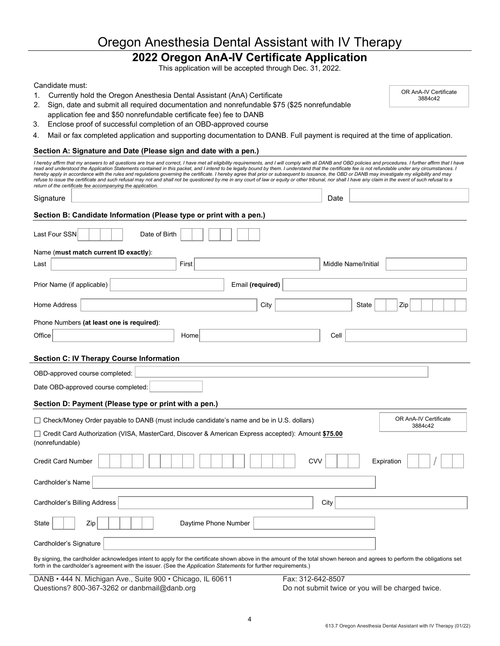# Oregon Anesthesia Dental Assistant with IV Therapy

# **2022 Oregon AnA-IV Certificate Application**

This application will be accepted through Dec. 31, 2022.

#### Candidate must:

1. Currently hold the Oregon Anesthesia Dental Assistant (AnA) Certificate

| OR AnA-IV Certificate |  |
|-----------------------|--|
| 3884c42               |  |

- 2. Sign, date and submit all required documentation and nonrefundable \$75 (\$25 nonrefundable application fee and \$50 nonrefundable certificate fee) fee to DANB
- 3. Enclose proof of successful completion of an OBD-approved course
- 4. Mail or fax completed application and supporting documentation to DANB. Full payment is required at the time of application.

#### **Section A: Signature and Date (Please sign and date with a pen.)**

| I hereby affirm that my answers to all questions are true and correct, I have met all eligibility requirements, and I will comply with all DANB and OBD policies and procedures. I further affirm that I have<br>read and understood the Application Statements contained in this packet, and I intend to be legally bound by them. I understand that the certificate fee is not refundable under any circumstances. I<br>hereby apply in accordance with the rules and requlations governing the certificate. I hereby agree that prior or subsequent to issuance, the OBD or DANB may investigate my eligibility and may<br>refuse to issue the certificate and such refusal may not and shall not be questioned by me in any court of law or equity or other tribunal, nor shall I have any claim in the event of such refusal to a<br>return of the certificate fee accompanying the application. |                                  |  |
|-------------------------------------------------------------------------------------------------------------------------------------------------------------------------------------------------------------------------------------------------------------------------------------------------------------------------------------------------------------------------------------------------------------------------------------------------------------------------------------------------------------------------------------------------------------------------------------------------------------------------------------------------------------------------------------------------------------------------------------------------------------------------------------------------------------------------------------------------------------------------------------------------------|----------------------------------|--|
| Signature                                                                                                                                                                                                                                                                                                                                                                                                                                                                                                                                                                                                                                                                                                                                                                                                                                                                                             | Date                             |  |
| Section B: Candidate Information (Please type or print with a pen.)                                                                                                                                                                                                                                                                                                                                                                                                                                                                                                                                                                                                                                                                                                                                                                                                                                   |                                  |  |
| Last Four SSN<br>Date of Birth                                                                                                                                                                                                                                                                                                                                                                                                                                                                                                                                                                                                                                                                                                                                                                                                                                                                        |                                  |  |
| Name (must match current ID exactly):                                                                                                                                                                                                                                                                                                                                                                                                                                                                                                                                                                                                                                                                                                                                                                                                                                                                 |                                  |  |
| First<br>Last                                                                                                                                                                                                                                                                                                                                                                                                                                                                                                                                                                                                                                                                                                                                                                                                                                                                                         | Middle Name/Initial              |  |
| Prior Name (if applicable)<br>Email (required)                                                                                                                                                                                                                                                                                                                                                                                                                                                                                                                                                                                                                                                                                                                                                                                                                                                        |                                  |  |
| Home Address<br>City                                                                                                                                                                                                                                                                                                                                                                                                                                                                                                                                                                                                                                                                                                                                                                                                                                                                                  | State<br>Zip                     |  |
| Phone Numbers (at least one is required):                                                                                                                                                                                                                                                                                                                                                                                                                                                                                                                                                                                                                                                                                                                                                                                                                                                             |                                  |  |
| Office<br>Home                                                                                                                                                                                                                                                                                                                                                                                                                                                                                                                                                                                                                                                                                                                                                                                                                                                                                        | Cell                             |  |
| <b>Section C: IV Therapy Course Information</b>                                                                                                                                                                                                                                                                                                                                                                                                                                                                                                                                                                                                                                                                                                                                                                                                                                                       |                                  |  |
| OBD-approved course completed:                                                                                                                                                                                                                                                                                                                                                                                                                                                                                                                                                                                                                                                                                                                                                                                                                                                                        |                                  |  |
| Date OBD-approved course completed:                                                                                                                                                                                                                                                                                                                                                                                                                                                                                                                                                                                                                                                                                                                                                                                                                                                                   |                                  |  |
| Section D: Payment (Please type or print with a pen.)                                                                                                                                                                                                                                                                                                                                                                                                                                                                                                                                                                                                                                                                                                                                                                                                                                                 |                                  |  |
| $\Box$ Check/Money Order payable to DANB (must include candidate's name and be in U.S. dollars)                                                                                                                                                                                                                                                                                                                                                                                                                                                                                                                                                                                                                                                                                                                                                                                                       | OR AnA-IV Certificate<br>3884c42 |  |
| □ Credit Card Authorization (VISA, MasterCard, Discover & American Express accepted): Amount \$75.00<br>(nonrefundable)                                                                                                                                                                                                                                                                                                                                                                                                                                                                                                                                                                                                                                                                                                                                                                               |                                  |  |
| <b>Credit Card Number</b>                                                                                                                                                                                                                                                                                                                                                                                                                                                                                                                                                                                                                                                                                                                                                                                                                                                                             | CVV<br>Expiration                |  |
| Cardholder's Name                                                                                                                                                                                                                                                                                                                                                                                                                                                                                                                                                                                                                                                                                                                                                                                                                                                                                     |                                  |  |
| Cardholder's Billing Address                                                                                                                                                                                                                                                                                                                                                                                                                                                                                                                                                                                                                                                                                                                                                                                                                                                                          | City                             |  |
| Zip<br>Daytime Phone Number<br>State                                                                                                                                                                                                                                                                                                                                                                                                                                                                                                                                                                                                                                                                                                                                                                                                                                                                  |                                  |  |
| Cardholder's Signature                                                                                                                                                                                                                                                                                                                                                                                                                                                                                                                                                                                                                                                                                                                                                                                                                                                                                |                                  |  |
| By signing, the cardholder acknowledges intent to apply for the certificate shown above in the amount of the total shown hereon and agrees to perform the obligations set<br>forth in the cardholder's agreement with the issuer. (See the Application Statements for further requirements.)                                                                                                                                                                                                                                                                                                                                                                                                                                                                                                                                                                                                          |                                  |  |

DANB • 444 N. Michigan Ave., Suite 900 • Chicago, IL 60611 Fax: 312-642-8507 Questions? 800-367-3262 or danbmail@danb.org Do not submit twice or you will be charged twice.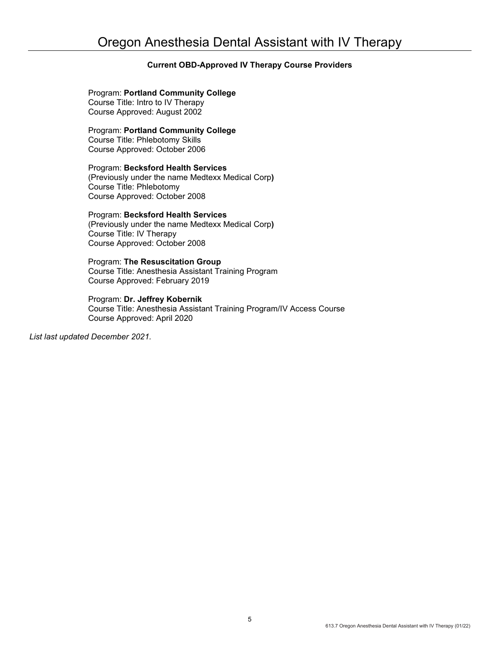## **Current OBD-Approved IV Therapy Course Providers**

Program: **Portland Community College** Course Title: Intro to IV Therapy Course Approved: August 2002

Program: **Portland Community College** Course Title: Phlebotomy Skills Course Approved: October 2006

Program: **Becksford Health Services**  (Previously under the name Medtexx Medical Corp**)** Course Title: Phlebotomy Course Approved: October 2008

Program: **Becksford Health Services** (Previously under the name Medtexx Medical Corp**)** Course Title: IV Therapy

Course Approved: October 2008

Program: **The Resuscitation Group** Course Title: Anesthesia Assistant Training Program Course Approved: February 2019

Program: **Dr. Jeffrey Kobernik** Course Title: Anesthesia Assistant Training Program/IV Access Course Course Approved: April 2020

*List last updated December 2021.*